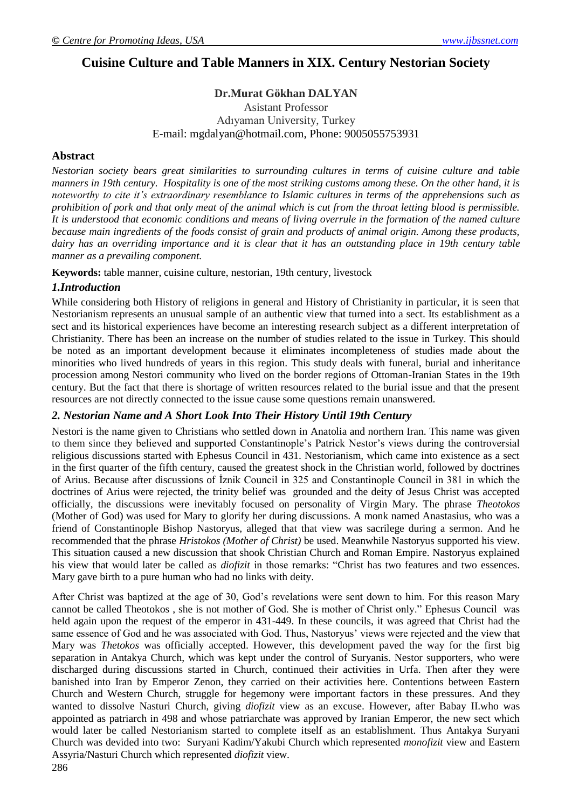# **Cuisine Culture and Table Manners in XIX. Century Nestorian Society**

## **Dr.Murat Gökhan DALYAN**

## Asistant Professor Adıyaman University, Turkey E-mail: [mgdalyan@hotmail.com,](mailto:mgdalyan@hotmail.com) Phone: 9005055753931

## **Abstract**

*Nestorian society bears great similarities to surrounding cultures in terms of cuisine culture and table manners in 19th century. Hospitality is one of the most striking customs among these. On the other hand, it is noteworthy to cite it's extraordinary resemblance to Islamic cultures in terms of the apprehensions such as prohibition of pork and that only meat of the animal which is cut from the throat letting blood is permissible. It is understood that economic conditions and means of living overrule in the formation of the named culture because main ingredients of the foods consist of grain and products of animal origin. Among these products, dairy has an overriding importance and it is clear that it has an outstanding place in 19th century table manner as a prevailing component.* 

**Keywords:** table manner, cuisine culture, nestorian, 19th century, livestock

## *1.Introduction*

While considering both History of religions in general and History of Christianity in particular, it is seen that Nestorianism represents an unusual sample of an authentic view that turned into a sect. Its establishment as a sect and its historical experiences have become an interesting research subject as a different interpretation of Christianity. There has been an increase on the number of studies related to the issue in Turkey. This should be noted as an important development because it eliminates incompleteness of studies made about the minorities who lived hundreds of years in this region. This study deals with funeral, burial and inheritance procession among Nestori community who lived on the border regions of Ottoman-Iranian States in the 19th century. But the fact that there is shortage of written resources related to the burial issue and that the present resources are not directly connected to the issue cause some questions remain unanswered.

## *2. Nestorian Name and A Short Look Into Their History Until 19th Century*

Nestori is the name given to Christians who settled down in Anatolia and northern Iran. This name was given to them since they believed and supported Constantinople"s Patrick Nestor"s views during the controversial religious discussions started with Ephesus Council in 431. Nestorianism, which came into existence as a sect in the first quarter of the fifth century, caused the greatest shock in the Christian world, followed by doctrines of Arius. Because after discussions of İznik Council in 325 and Constantinople Council in 381 in which the doctrines of Arius were rejected, the trinity belief was grounded and the deity of Jesus Christ was accepted officially, the discussions were inevitably focused on personality of Virgin Mary. The phrase *Theotokos*  (Mother of God) was used for Mary to glorify her during discussions. A monk named Anastasius, who was a friend of Constantinople Bishop Nastoryus, alleged that that view was sacrilege during a sermon. And he recommended that the phrase *Hristokos (Mother of Christ)* be used. Meanwhile Nastoryus supported his view. This situation caused a new discussion that shook Christian Church and Roman Empire. Nastoryus explained his view that would later be called as *diofizit* in those remarks: "Christ has two features and two essences. Mary gave birth to a pure human who had no links with deity.

After Christ was baptized at the age of 30, God"s revelations were sent down to him. For this reason Mary cannot be called Theotokos , she is not mother of God. She is mother of Christ only." Ephesus Council was held again upon the request of the emperor in 431-449. In these councils, it was agreed that Christ had the same essence of God and he was associated with God. Thus, Nastoryus' views were rejected and the view that Mary was *Thetokos* was officially accepted. However, this development paved the way for the first big separation in Antakya Church, which was kept under the control of Suryanis. Nestor supporters, who were discharged during discussions started in Church, continued their activities in Urfa. Then after they were banished into Iran by Emperor Zenon, they carried on their activities here. Contentions between Eastern Church and Western Church, struggle for hegemony were important factors in these pressures. And they wanted to dissolve Nasturi Church, giving *diofizit* view as an excuse. However, after Babay II.who was appointed as patriarch in 498 and whose patriarchate was approved by Iranian Emperor, the new sect which would later be called Nestorianism started to complete itself as an establishment. Thus Antakya Suryani Church was devided into two: Suryani Kadim/Yakubi Church which represented *monofizit* view and Eastern Assyria/Nasturi Church which represented *diofizit* view.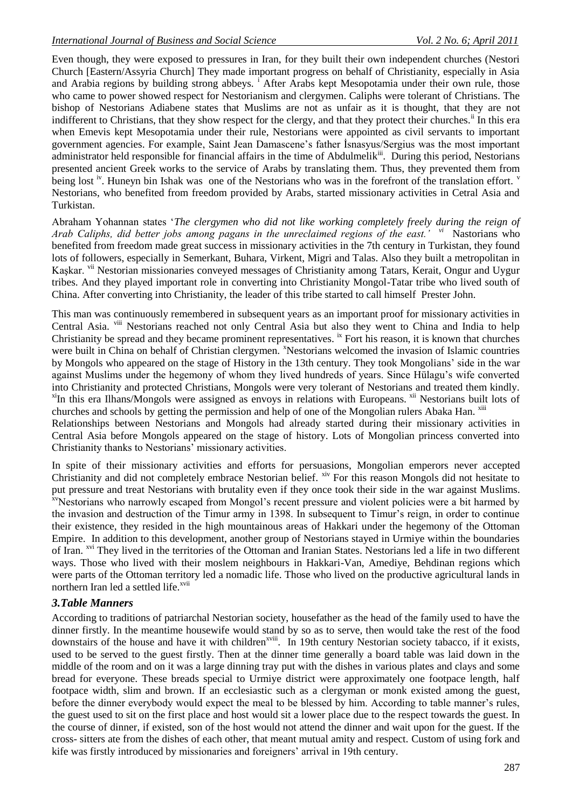Even though, they were exposed to pressures in Iran, for they built their own independent churches (Nestori Church [Eastern/Assyria Church] They made important progress on behalf of Christianity, especially in Asia and Arabia regions by building strong abbeys.<sup>1</sup> After Arabs kept Mesopotamia under their own rule, those who came to power showed respect for Nestorianism and clergymen. Caliphs were tolerant of Christians. The bishop of Nestorians Adiabene states that Muslims are not as unfair as it is thought, that they are not indifferent to Christians, that they show respect for the clergy, and that they protect their churches.<sup>ii</sup> In this era when Emevis kept Mesopotamia under their rule, Nestorians were appointed as civil servants to important government agencies. For example, Saint Jean Damascene"s father İsnasyus/Sergius was the most important administrator held responsible for financial affairs in the time of Abdulmelik<sup>iii</sup>. During this period, Nestorians presented ancient Greek works to the service of Arabs by translating them. Thus, they prevented them from being lost <sup>iv</sup>. Huneyn bin Ishak was one of the Nestorians who was in the forefront of the translation effort. <sup>v</sup> Nestorians, who benefited from freedom provided by Arabs, started missionary activities in Cetral Asia and Turkistan.

Abraham Yohannan states "*The clergymen who did not like working completely freely during the reign of Arab Caliphs, did better jobs among pagans in the unreclaimed regions of the east.' vi* Nastorians who benefited from freedom made great success in missionary activities in the 7th century in Turkistan, they found lots of followers, especially in Semerkant, Buhara, Virkent, Migri and Talas. Also they built a metropolitan in Kaşkar. <sup>vii</sup> Nestorian missionaries conveyed messages of Christianity among Tatars, Kerait, Ongur and Uygur tribes. And they played important role in converting into Christianity Mongol-Tatar tribe who lived south of China. After converting into Christianity, the leader of this tribe started to call himself Prester John.

This man was continuously remembered in subsequent years as an important proof for missionary activities in Central Asia. <sup>viii</sup> Nestorians reached not only Central Asia but also they went to China and India to help Christianity be spread and they became prominent representatives. ix Fort his reason, it is known that churches were built in China on behalf of Christian clergymen. <sup>x</sup>Nestorians welcomed the invasion of Islamic countries by Mongols who appeared on the stage of History in the 13th century. They took Mongolians" side in the war against Muslims under the hegemony of whom they lived hundreds of years. Since Hülagu"s wife converted into Christianity and protected Christians, Mongols were very tolerant of Nestorians and treated them kindly.  $x$ <sup>I</sup>In this era Ilhans/Mongols were assigned as envoys in relations with Europeans.  $x$ <sup>II</sup> Nestorians built lots of churches and schools by getting the permission and help of one of the Mongolian rulers Abaka Han.  $^{xiii}$ 

Relationships between Nestorians and Mongols had already started during their missionary activities in Central Asia before Mongols appeared on the stage of history. Lots of Mongolian princess converted into Christianity thanks to Nestorians" missionary activities.

In spite of their missionary activities and efforts for persuasions, Mongolian emperors never accepted Christianity and did not completely embrace Nestorian belief. <sup>xiv</sup> For this reason Mongols did not hesitate to put pressure and treat Nestorians with brutality even if they once took their side in the war against Muslims. <sup>xv</sup>Nestorians who narrowly escaped from Mongol's recent pressure and violent policies were a bit harmed by the invasion and destruction of the Timur army in 1398. In subsequent to Timur"s reign, in order to continue their existence, they resided in the high mountainous areas of Hakkari under the hegemony of the Ottoman Empire. In addition to this development, another group of Nestorians stayed in Urmiye within the boundaries of Iran. <sup>xvi</sup> They lived in the territories of the Ottoman and Iranian States. Nestorians led a life in two different ways. Those who lived with their moslem neighbours in Hakkari-Van, Amediye, Behdinan regions which were parts of the Ottoman territory led a nomadic life. Those who lived on the productive agricultural lands in northern Iran led a settled life.<sup>xvii</sup>

#### *3.Table Manners*

According to traditions of patriarchal Nestorian society, housefather as the head of the family used to have the dinner firstly. In the meantime housewife would stand by so as to serve, then would take the rest of the food downstairs of the house and have it with children<sup>xviii</sup>. In 19th century Nestorian society tabacco, if it exists, used to be served to the guest firstly. Then at the dinner time generally a board table was laid down in the middle of the room and on it was a large dinning tray put with the dishes in various plates and clays and some bread for everyone. These breads special to Urmiye district were approximately one footpace length, half footpace width, slim and brown. If an ecclesiastic such as a clergyman or monk existed among the guest, before the dinner everybody would expect the meal to be blessed by him. According to table manner"s rules, the guest used to sit on the first place and host would sit a lower place due to the respect towards the guest. In the course of dinner, if existed, son of the host would not attend the dinner and wait upon for the guest. If the cross- sitters ate from the dishes of each other, that meant mutual amity and respect. Custom of using fork and kife was firstly introduced by missionaries and foreigners" arrival in 19th century.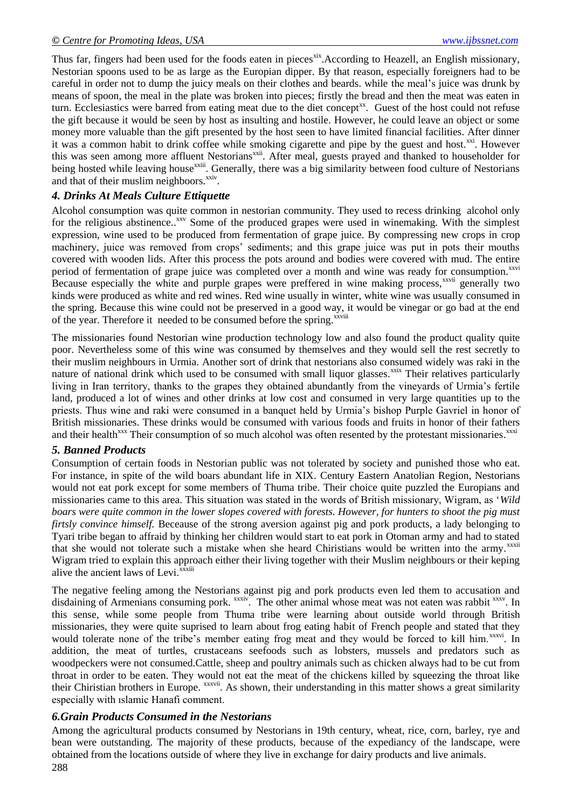Thus far, fingers had been used for the foods eaten in pieces<sup>xix</sup>. According to Heazell, an English missionary, Nestorian spoons used to be as large as the Europian dipper. By that reason, especially foreigners had to be careful in order not to dump the juicy meals on their clothes and beards. while the meal"s juice was drunk by means of spoon, the meal in the plate was broken into pieces; firstly the bread and then the meat was eaten in turn. Ecclesiastics were barred from eating meat due to the diet concept<sup>xx</sup>. Guest of the host could not refuse the gift because it would be seen by host as insulting and hostile. However, he could leave an object or some money more valuable than the gift presented by the host seen to have limited financial facilities. After dinner it was a common habit to drink coffee while smoking cigarette and pipe by the guest and host.<sup>xxi</sup>. However this was seen among more affluent Nestorians<sup>xxii</sup>. After meal, guests prayed and thanked to householder for being hosted while leaving house<sup>xxiii</sup>. Generally, there was a big similarity between food culture of Nestorians and that of their muslim neighboors.<sup>xxiv</sup>.

## *4. Drinks At Meals Culture Ettiquette*

Alcohol consumption was quite common in nestorian community. They used to recess drinking alcohol only for the religious abstinence..<sup>XXV</sup> Some of the produced grapes were used in winemaking. With the simplest expression, wine used to be produced from fermentation of grape juice. By compressing new crops in crop machinery, juice was removed from crops" sediments; and this grape juice was put in pots their mouths covered with wooden lids. After this process the pots around and bodies were covered with mud. The entire period of fermentation of grape juice was completed over a month and wine was ready for consumption.<sup>xxvi</sup> Because especially the white and purple grapes were preffered in wine making process,<sup>xxvii</sup> generally two kinds were produced as white and red wines. Red wine usually in winter, white wine was usually consumed in the spring. Because this wine could not be preserved in a good way, it would be vinegar or go bad at the end of the year. Therefore it needed to be consumed before the spring.<sup>xxviii</sup>

The missionaries found Nestorian wine production technology low and also found the product quality quite poor. Nevertheless some of this wine was consumed by themselves and they would sell the rest secretly to their muslim neighbours in Urmia. Another sort of drink that nestorians also consumed widely was raki in the nature of national drink which used to be consumed with small liquor glasses.<sup>xxix</sup> Their relatives particularly living in Iran territory, thanks to the grapes they obtained abundantly from the vineyards of Urmia"s fertile land, produced a lot of wines and other drinks at low cost and consumed in very large quantities up to the priests. Thus wine and raki were consumed in a banquet held by Urmia"s bishop Purple Gavriel in honor of British missionaries. These drinks would be consumed with various foods and fruits in honor of their fathers and their health<sup>xxx</sup> Their consumption of so much alcohol was often resented by the protestant missionaries.<sup>xxxi</sup>

#### *5. Banned Products*

Consumption of certain foods in Nestorian public was not tolerated by society and punished those who eat. For instance, in spite of the wild boars abundant life in XIX. Century Eastern Anatolian Region, Nestorians would not eat pork except for some members of Thuma tribe. Their choice quite puzzled the Europians and missionaries came to this area. This situation was stated in the words of British missionary, Wigram, as "*Wild boars were quite common in the lower slopes covered with forests. However, for hunters to shoot the pig must firtsly convince himself.* Beceause of the strong aversion against pig and pork products, a lady belonging to Tyari tribe began to affraid by thinking her children would start to eat pork in Otoman army and had to stated that she would not tolerate such a mistake when she heard Chiristians would be written into the army.<sup>xxxii</sup> Wigram tried to explain this approach either their living together with their Muslim neighbours or their keping alive the ancient laws of Levi. $\overline{x}$ xxiii

The negative feeling among the Nestorians against pig and pork products even led them to accusation and disdaining of Armenians consuming pork. xxxiv. The other animal whose meat was not eaten was rabbit xxxv. In this sense, while some people from Thuma tribe were learning about outside world through British missionaries, they were quite suprised to learn about frog eating habit of French people and stated that they would tolerate none of the tribe's member eating frog meat and they would be forced to kill him.<sup>xxxvi</sup>. In addition, the meat of turtles, crustaceans seefoods such as lobsters, mussels and predators such as woodpeckers were not consumed.Cattle, sheep and poultry animals such as chicken always had to be cut from throat in order to be eaten. They would not eat the meat of the chickens killed by squeezing the throat like their Chiristian brothers in Europe. <sup>xxxvii</sup>. As shown, their understanding in this matter shows a great similarity especially with ıslamic Hanafi comment.

#### *6.Grain Products Consumed in the Nestorians*

288 Among the agricultural products consumed by Nestorians in 19th century, wheat, rice, corn, barley, rye and bean were outstanding. The majority of these products, because of the expediancy of the landscape, were obtained from the locations outside of where they live in exchange for dairy products and live animals.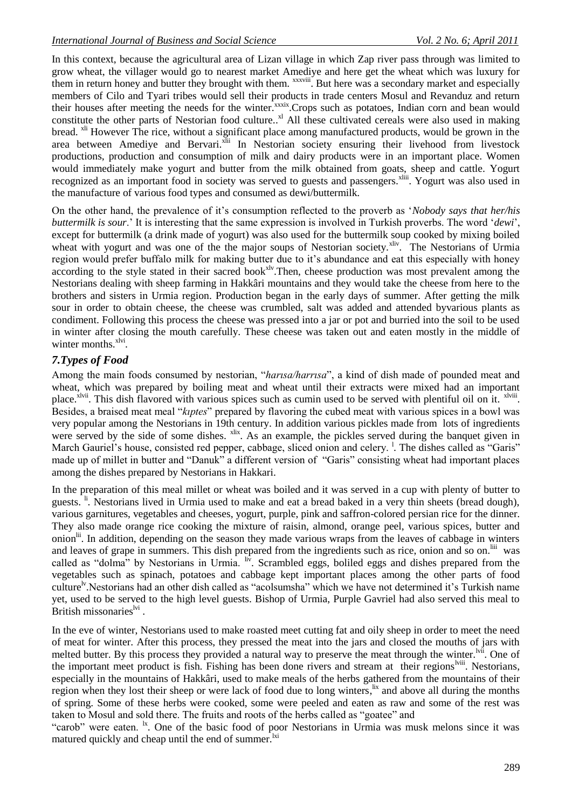In this context, because the agricultural area of Lizan village in which Zap river pass through was limited to grow wheat, the villager would go to nearest market Amediye and here get the wheat which was luxury for them in return honey and butter they brought with them. *xxxviii*. But here was a secondary market and especially members of Cilo and Tyari tribes would sell their products in trade centers Mosul and Revanduz and return their houses after meeting the needs for the winter.<sup>xxxix</sup>.Crops such as potatoes, Indian corn and bean would constitute the other parts of Nestorian food culture..<sup>xl</sup> All these cultivated cereals were also used in making bread. xli However The rice, without a significant place among manufactured products, would be grown in the area between Amediye and Bervari.<sup>xlii</sup> In Nestorian society ensuring their livehood from livestock productions, production and consumption of milk and dairy products were in an important place. Women would immediately make yogurt and butter from the milk obtained from goats, sheep and cattle. Yogurt recognized as an important food in society was served to guests and passengers.<sup>xliii</sup>. Yogurt was also used in the manufacture of various food types and consumed as dewi/buttermilk.

On the other hand, the prevalence of it"s consumption reflected to the proverb as "*Nobody says that her/his buttermilk is sour*." It is interesting that the same expression is involved in Turkish proverbs. The word "*dewi*", except for buttermilk (a drink made of yogurt) was also used for the buttermilk soup cooked by mixing boiled wheat with yogurt and was one of the the major soups of Nestorian society.<sup>xliv</sup>. The Nestorians of Urmia region would prefer buffalo milk for making butter due to it's abundance and eat this especially with honey according to the style stated in their sacred book<sup>xlv</sup>. Then, cheese production was most prevalent among the Nestorians dealing with sheep farming in Hakkâri mountains and they would take the cheese from here to the brothers and sisters in Urmia region. Production began in the early days of summer. After getting the milk sour in order to obtain cheese, the cheese was crumbled, salt was added and attended byvarious plants as condiment. Following this process the cheese was pressed into a jar or pot and burried into the soil to be used in winter after closing the mouth carefully. These cheese was taken out and eaten mostly in the middle of winter months.<sup>xlvi</sup>.

## *7.Types of Food*

Among the main foods consumed by nestorian, "*harısa/harrısa*", a kind of dish made of pounded meat and wheat, which was prepared by boiling meat and wheat until their extracts were mixed had an important place.<sup>xlvii</sup>. This dish flavored with various spices such as cumin used to be served with plentiful oil on it. <sup>xlviii</sup>. Besides, a braised meat meal "*kıptes*" prepared by flavoring the cubed meat with various spices in a bowl was very popular among the Nestorians in 19th century. In addition various pickles made from lots of ingredients were served by the side of some dishes. <sup>xlix</sup>. As an example, the pickles served during the banquet given in March Gauriel's house, consisted red pepper, cabbage, sliced onion and celery.<sup>1</sup>. The dishes called as "Garis" made up of millet in butter and "Danuk" a different version of "Garis" consisting wheat had important places among the dishes prepared by Nestorians in Hakkari.

In the preparation of this meal millet or wheat was boiled and it was served in a cup with plenty of butter to guests. <sup>ii</sup>. Nestorians lived in Urmia used to make and eat a bread baked in a very thin sheets (bread dough), various garnitures, vegetables and cheeses, yogurt, purple, pink and saffron-colored persian rice for the dinner. They also made orange rice cooking the mixture of raisin, almond, orange peel, various spices, butter and onion<sup>lii</sup>. In addition, depending on the season they made various wraps from the leaves of cabbage in winters and leaves of grape in summers. This dish prepared from the ingredients such as rice, onion and so on.<sup>liii</sup> was called as "dolma" by Nestorians in Urmia. <sup>liv</sup>. Scrambled eggs, boliled eggs and dishes prepared from the vegetables such as spinach, potatoes and cabbage kept important places among the other parts of food culture<sup>lv</sup>. Nestorians had an other dish called as "acolsumsha" which we have not determined it's Turkish name yet, used to be served to the high level guests. Bishop of Urmia, Purple Gavriel had also served this meal to British missonaries<sup>lvi</sup>.

In the eve of winter, Nestorians used to make roasted meet cutting fat and oily sheep in order to meet the need of meat for winter. After this process, they pressed the meat into the jars and closed the mouths of jars with melted butter. By this process they provided a natural way to preserve the meat through the winter.<sup>Ivii</sup>. One of the important meet product is fish. Fishing has been done rivers and stream at their regions<sup>lviii</sup>. Nestorians, especially in the mountains of Hakkâri, used to make meals of the herbs gathered from the mountains of their region when they lost their sheep or were lack of food due to long winters, <sup>lix</sup> and above all during the months of spring. Some of these herbs were cooked, some were peeled and eaten as raw and some of the rest was taken to Mosul and sold there. The fruits and roots of the herbs called as "goatee" and

"carob" were eaten. <sup>Ix</sup>. One of the basic food of poor Nestorians in Urmia was musk melons since it was matured quickly and cheap until the end of summer.<sup>Ixi</sup>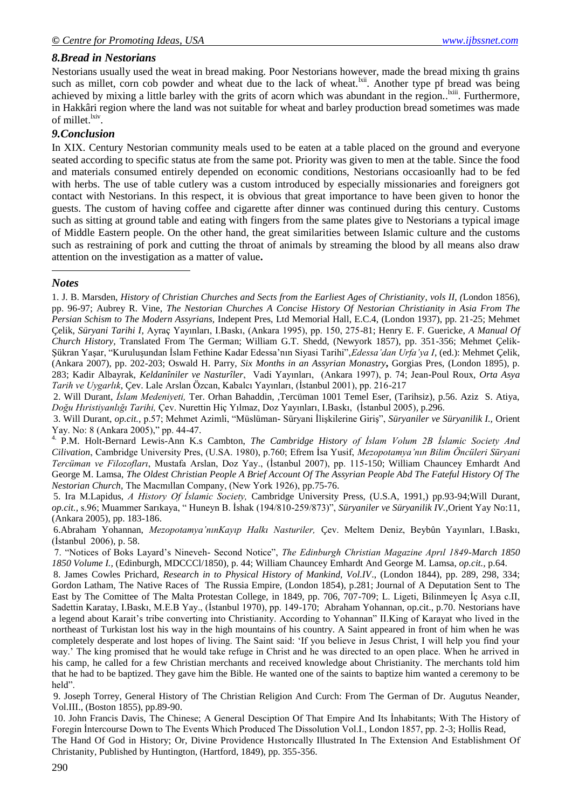#### *8.Bread in Nestorians*

Nestorians usually used the weat in bread making. Poor Nestorians however, made the bread mixing th grains such as millet, corn cob powder and wheat due to the lack of wheat.<sup>kii</sup>. Another type pf bread was being achieved by mixing a little barley with the grits of acorn which was abundant in the region.<sup>Ixiii</sup>. Furthermore, in Hakkâri region where the land was not suitable for wheat and barley production bread sometimes was made of millet.<sup>lxiv</sup>.

#### *9.Conclusion*

In XIX. Century Nestorian community meals used to be eaten at a table placed on the ground and everyone seated according to specific status ate from the same pot. Priority was given to men at the table. Since the food and materials consumed entirely depended on economic conditions, Nestorians occasioanlly had to be fed with herbs. The use of table cutlery was a custom introduced by especially missionaries and foreigners got contact with Nestorians. In this respect, it is obvious that great importance to have been given to honor the guests. The custom of having coffee and cigarette after dinner was continued during this century. Customs such as sitting at ground table and eating with fingers from the same plates give to Nestorians a typical image of Middle Eastern people. On the other hand, the great similarities between Islamic culture and the customs such as restraining of pork and cutting the throat of animals by streaming the blood by all means also draw attention on the investigation as a matter of value**.**

#### *Notes*

1

1. J. B. Marsden, *History of Christian Churches and Sects from the Earliest Ages of Christianity*, *vols II, (*London 1856), pp. 96-97; Aubrey R. Vine, *The Nestorian Churches A Concise History Of Nestorian Christianity in Asia From The Persian Schism to The Modern Assyrians,* Indepent Pres, Ltd Memorial Hall, E.C.4, (London 1937), pp. 21-25; Mehmet Çelik, *Süryani Tarihi I,* Ayraç Yayınları, I.Baskı, (Ankara 1995), pp. 150, 275-81; Henry E. F. Guericke, *A Manual Of Church History,* Translated From The German; William G.T. Shedd, (Newyork 1857), pp. 351-356; Mehmet Çelik-Şükran Yaşar, "Kuruluşundan İslam Fethine Kadar Edessa"nın Siyasi Tarihi",*Edessa'dan Urfa'ya I*, (ed.): Mehmet Çelik, (Ankara 2007), pp. 202-203; Oswald H. Parry, *Six Months in an Assyrian Monastry***,** Gorgias Pres, (London 1895), p. 283; Kadir Albayrak, *Keldanîniler ve Nasturîler*, Vadi Yayınları, (Ankara 1997), p. 74; Jean-Poul Roux, *Orta Asya Tarih ve Uygarlık,* Çev. Lale Arslan Özcan, Kabalcı Yayınları, (İstanbul 2001), pp. 216-217

2. Will Durant, *İslam Medeniyeti,* Ter. Orhan Bahaddin, ,Tercüman 1001 Temel Eser, (Tarihsiz), p.56. Aziz S. Atiya, *Doğu Hıristiyanlığı Tarihi,* Çev. Nurettin Hiç Yılmaz, Doz Yayınları, I.Baskı, (İstanbul 2005)*,* p.296.

3. Will Durant, *op.cit.,* p.57; Mehmet Azimli, "Müslüman- Süryani İlişkilerine Giriş", *Süryaniler ve Süryanilik I.,* Orient Yay. No: 8 (Ankara 2005)," pp. 44-47.

4. P.M. Holt-Bernard Lewis-Ann K.s Cambton, *The Cambridge History of İslam Volum 2B İslamic Society And Cilivation*, Cambridge University Pres, (U.SA. 1980), p.760; Efrem İsa Yusif, *Mezopotamya'nın Bilim Öncüleri Süryani Tercüman ve Filozofları*, Mustafa Arslan, Doz Yay., (İstanbul 2007), pp. 115-150; William Chauncey Emhardt And George M. Lamsa, *The Oldest Christian People A Brief Account Of The Assyrian People Abd The Fateful History Of The Nestorian Church,* The Macmıllan Company, (New York 1926), pp.75-76.

5. Ira M.Lapidus, *A History Of İslamic Society,* Cambridge University Press, (U.S.A, 1991,) pp.93-94;Will Durant, *op.cit.,* s.96; Muammer Sarıkaya, " Huneyn B. İshak (194/810-259/873)", *Süryaniler ve Süryanilik IV.,*Orient Yay No:11, (Ankara 2005), pp. 183-186.

6.Abraham Yohannan, *Mezopotamya'nınKayıp Halkı Nasturiler,* Çev. Meltem Deniz, Beybûn Yayınları, I.Baskı, (İstanbul 2006)*,* p. 58.

7. "Notices of Boks Layard"s Nineveh- Second Notice", *The Edinburgh Christian Magazine Aprıl 1849-March 1850 1850 Volume I.,* (Edinburgh, MDCCCl/1850), p. 44; William Chauncey Emhardt And George M. Lamsa, *op.cit.,* p.64.

8. James Cowles Prichard, *Research in to Physical History of Mankind, Vol.IV*., (London 1844), pp. 289, 298, 334; Gordon Latham, The Native Races of The Russia Empire, (London 1854), p.281; Journal of A Deputation Sent to The East by The Comittee of The Malta Protestan College, in 1849, pp. 706, 707-709; L. Ligeti, Bilinmeyen İç Asya c.II, Sadettin Karatay, I.Baskı, M.E.B Yay., (İstanbul 1970), pp. 149-170; Abraham Yohannan, op.cit., p.70. Nestorians have a legend about Karait"s tribe converting into Christianity. According to Yohannan" II.King of Karayat who lived in the northeast of Turkistan lost his way in the high mountains of his country. A Saint appeared in front of him when he was completely desperate and lost hopes of living. The Saint said: "If you believe in Jesus Christ, I will help you find your way." The king promised that he would take refuge in Christ and he was directed to an open place. When he arrived in his camp, he called for a few Christian merchants and received knowledge about Christianity. The merchants told him that he had to be baptized. They gave him the Bible. He wanted one of the saints to baptize him wanted a ceremony to be held".

9. Joseph Torrey, General History of The Christian Religion And Curch: From The German of Dr. Augutus Neander, Vol.III., (Boston 1855), pp.89-90.

10. John Francis Davis, The Chinese; A General Desciption Of That Empire And Its İnhabitants; With The History of Foregin İntercourse Down to The Events Which Produced The Dissolution Vol.I., London 1857, pp. 2-3; Hollis Read,

The Hand Of God in History; Or, Divine Providence Hıstorıcally Illustrated In The Extension And Establishment Of Christanity, Published by Huntington, (Hartford, 1849), pp. 355-356.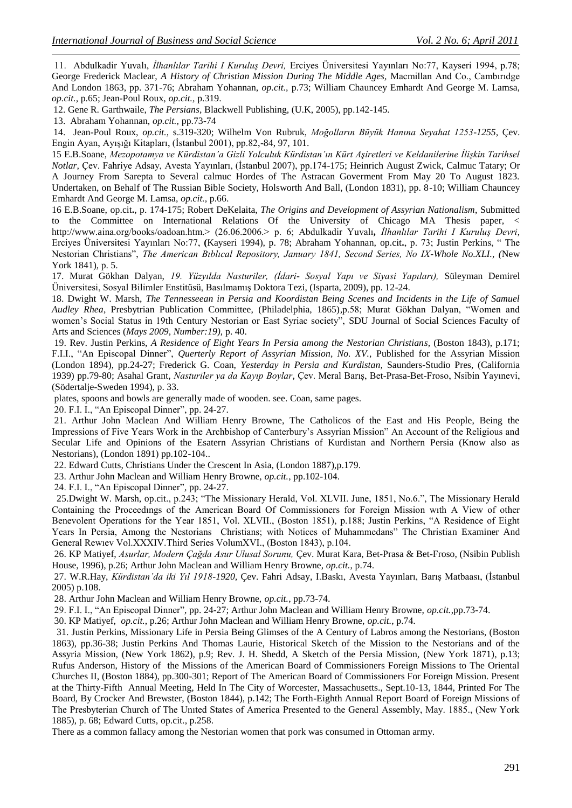11. Abdulkadir Yuvalı, *İlhanlılar Tarihi I Kuruluş Devri,* Erciyes Üniversitesi Yayınları No:77, Kayseri 1994, p.78; George Frederick Maclear, *A History of Christian Mission During The Middle Ages,* Macmillan And Co., Cambırıdge And London 1863, pp. 371-76; Abraham Yohannan, *op.cit.,* p.73; William Chauncey Emhardt And George M. Lamsa, *op.cit.,* p.65; Jean-Poul Roux, *op.cit.,* p.319.

12. Gene R. Garthwaile, *The Persians,* Blackwell Publishing, (U.K, 2005), pp.142-145.

13. Abraham Yohannan, *op.cit.,* pp.73-74

1

14. Jean-Poul Roux, *op.cit.,* s.319-320; Wilhelm Von Rubruk, *Moğolların Büyük Hanına Seyahat 1253-1255,* Çev. Engin Ayan, Ayışığı Kitapları, (İstanbul 2001), pp.82,-84, 97, 101.

15 E.B.Soane, *Mezopotamya ve Kürdistan'a Gizli Yolculuk Kürdistan'ın Kürt Aşiretleri ve Keldanilerine İlişkin Tarihsel Notlar,* Çev. Fahriye Adsay, Avesta Yayınları, (İstanbul 2007), pp.174-175; Heinrich August Zwick, Calmuc Tatary; Or A Journey From Sarepta to Several calmuc Hordes of The Astracan Goverment From May 20 To August 1823. Undertaken, on Behalf of The Russian Bible Society, Holsworth And Ball, (London 1831), pp. 8-10; William Chauncey Emhardt And George M. Lamsa, *op.cit.,* p.66.

16 E.B.Soane, op.cit**.**, p. 174-175; Robert DeKelaita, *The Origins and Development of Assyrian Nationalism*, Submitted to the Committee on International Relations Of the University of Chicago MA Thesis paper, < http://www.aina.org/books/oadoan.htm.> (26.06.2006.> p. 6; Abdulkadir Yuvalı*, İlhanlılar Tarihi I Kuruluş Devri*, Erciyes Üniversitesi Yayınları No:77, **(**Kayseri 1994), p. 78; Abraham Yohannan, op.cit**.**, p. 73; Justin Perkins, " The Nestorian Christians", *The American Bıblıcal Repository, January 1841, Second Series, No IX-Whole No.XLI., (*New York 1841), p. 5.

17. Murat Gökhan Dalyan, *19. Yüzyılda Nasturiler, (İdari- Sosyal Yapı ve Siyasi Yapıları),* Süleyman Demirel Üniversitesi, Sosyal Bilimler Enstitüsü, Basılmamış Doktora Tezi, (Isparta, 2009), pp. 12-24.

18. Dwight W. Marsh, *The Tennesseean in Persia and Koordistan Being Scenes and Incidents in the Life of Samuel Audley Rhea*, Presbytrian Publication Committee, (Philadelphia, 1865)*,*p.58; Murat Gökhan Dalyan, "Women and women"s Social Status in 19th Century Nestorian or East Syriac society", SDU Journal of Social Sciences Faculty of Arts and Sciences (*Mays 2009, Number:19),* p. 40.

19. Rev. Justin Perkins, *A Residence of Eight Years In Persia among the Nestorian Christians,* (Boston 1843), p.171; F.I.I., "An Episcopal Dinner", *Querterly Report of Assyrian Mission, No. XV.,* Published for the Assyrian Mission (London 1894), pp.24-27; Frederick G. Coan, *Yesterday in Persia and Kurdistan,* Saunders-Studio Pres, (California 1939) pp.79-80; Asahal Grant, *Nasturiler ya da Kayıp Boylar,* Çev. Meral Barış, Bet-Prasa-Bet-Froso, Nsibin Yayınevi, (Södertalje-Sweden 1994), p. 33.

plates, spoons and bowls are generally made of wooden. see. Coan, same pages.

20. F.I. I., "An Episcopal Dinner", pp. 24-27.

21. Arthur John Maclean And William Henry Browne, The Catholicos of the East and His People, Being the Impressions of Five Years Work in the Archbishop of Canterbury's Assyrian Mission" An Account of the Religious and Secular Life and Opinions of the Esatern Assyrian Christians of Kurdistan and Northern Persia (Know also as Nestorians), (London 1891) pp.102-104..

22. Edward Cutts, Christians Under the Crescent In Asia, (London 1887),p.179.

23. Arthur John Maclean and William Henry Browne, *op.cit.*, pp.102-104.

24. F.I. I., "An Episcopal Dinner"*,* pp. 24-27.

 25.Dwight W. Marsh, op.cit., p.243; "The Missionary Herald, Vol. XLVII. June, 1851, No.6.", The Missionary Herald Containing the Proceedıngs of the American Board Of Commissioners for Foreign Mission wıth A View of other Benevolent Operations for the Year 1851, Vol. XLVII., (Boston 1851), p.188; Justin Perkins, "A Residence of Eight Years In Persia, Among the Nestorians Christians; with Notices of Muhammedans" The Christian Examiner And General Rewıev Vol.XXXIV.Third Series VolumXVI., (Boston 1843), p.104.

26. KP Matiyef, *Asurlar, Modern Çağda Asur Ulusal Sorunu,* Çev. Murat Kara, Bet-Prasa & Bet-Froso, (Nsibin Publish House, 1996), p.26; Arthur John Maclean and William Henry Browne, *op.cit.*, p.74.

27. W.R.Hay, *Kürdistan'da iki Yıl 1918-1920,* Çev. Fahri Adsay, I.Baskı, Avesta Yayınları, Barış Matbaası, (İstanbul 2005) p.108.

28. Arthur John Maclean and William Henry Browne, *op.cit.*, pp.73-74.

29. F.I. I., "An Episcopal Dinner"*,* pp. 24-27; Arthur John Maclean and William Henry Browne, *op.cit.*,pp.73-74.

30. KP Matiyef, *op.cit.*, p.26; Arthur John Maclean and William Henry Browne, *op.cit.*, p.74.

 31. Justin Perkins, Missionary Life in Persia Being Glimses of the A Century of Labros among the Nestorians, (Boston 1863), pp.36-38; Justin Perkins And Thomas Laurie, Historical Sketch of the Mission to the Nestorians and of the Assyria Mission, (New York 1862), p.9; Rev. J. H. Shedd, A Sketch of the Persia Mission, (New York 1871), p.13; Rufus Anderson, History of the Missions of the American Board of Commissioners Foreign Missions to The Oriental Churches II, (Boston 1884), pp.300-301; Report of The American Board of Commissioners For Foreign Mission. Present at the Thirty-Fifth Annual Meeting, Held In The City of Worcester, Massachusetts., Sept.10-13, 1844, Printed For The Board, By Crocker And Brewster, (Boston 1844), p.142; The Forth-Eighth Annual Report Board of Foreign Missions of The Presbyterian Church of The Unıted States of America Presented to the General Assembly, May. 1885., (New York 1885), p. 68; Edward Cutts, op.cit., p.258.

There as a common fallacy among the Nestorian women that pork was consumed in Ottoman army.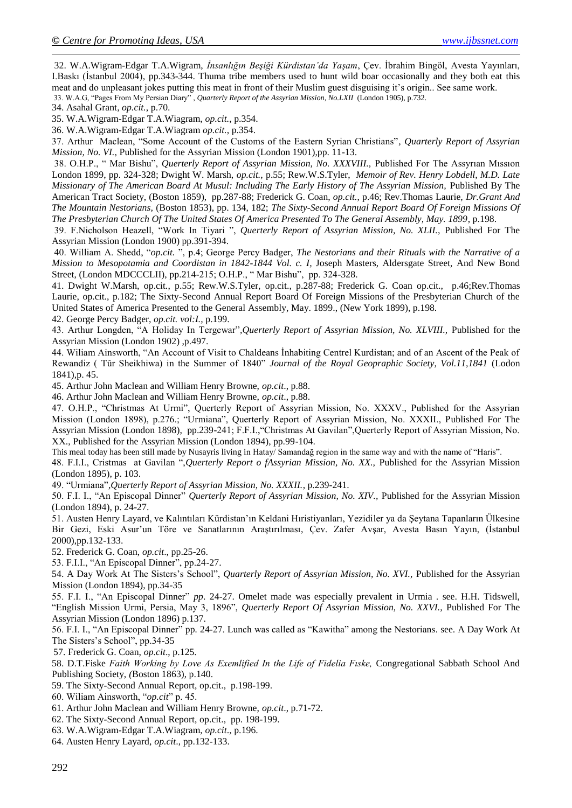32. W.A.Wigram-Edgar T.A.Wigram, *İnsanlığın Beşiği Kürdistan'da Yaşam*, Çev. İbrahim Bingöl, Avesta Yayınları, I.Baskı (İstanbul 2004)*,* pp.343-344. Thuma tribe members used to hunt wild boar occasionally and they both eat this meat and do unpleasant jokes putting this meat in front of their Muslim guest disguising it"s origin.. See same work. 33. W.A.G, "Pages From My Persian Diary" *, Quarterly Report of the Assyrian Mission, No.LXII* (London 1905), p.732.

34. Asahal Grant, *op.cit.*, p.70.

1

35. W.A.Wigram-Edgar T.A.Wiagram, *op.cit.*, p.354.

36. W.A.Wigram-Edgar T.A.Wiagram *op.cit.*, p.354.

37. Arthur Maclean, "Some Account of the Customs of the Eastern Syrian Christians"*, Quarterly Report of Assyrian Mission, No. VI.,* Published for the Assyrian Mission (London 1901),pp. 11-13.

38. O.H.P., " Mar Bishu", *Querterly Report of Assyrian Mission, No. XXXVIII.,* Published For The Assyrıan Mıssıon London 1899, pp. 324-328; Dwight W. Marsh, *op.cit.*, p.55; Rew.W.S.Tyler, *Memoir of Rev. Henry Lobdell, M.D. Late Missionary of The American Board At Musul: Including The Early History of The Assyrian Mission, Published By The* American Tract Society, (Boston 1859), pp.287-88; Frederick G. Coan, *op.cit.*, p.46; Rev.Thomas Laurie, *Dr.Grant And The Mountain Nestorians,* (Boston 1853), pp. 134, 182; *The Sixty-Second Annual Report Board Of Foreign Missions Of The Presbyterian Church Of The United States Of America Presented To The General Assembly, May. 1899*, p.198.

39. F.Nicholson Heazell, "Work In Tiyari ", *Querterly Report of Assyrian Mission, No. XLII.,* Published For The Assyrian Mission (London 1900) pp.391-394.

40. William A. Shedd, "*op.cit.* ", p.4; George Percy Badger, *The Nestorians and their Rituals with the Narrative of a Mission to Mesopotamia and Coordistan in 1842-1844 Vol. c. I, Joseph Masters, Aldersgate Street, And New Bond* Street, (London MDCCCLII), pp.214-215; O.H.P., " Mar Bishu", pp. 324-328.

41. Dwight W.Marsh, op.cit., p.55; Rew.W.S.Tyler, op.cit., p.287-88; Frederick G. Coan op.cit., p.46;Rev.Thomas Laurie, op.cit., p.182; The Sixty-Second Annual Report Board Of Foreign Missions of the Presbyterian Church of the United States of America Presented to the General Assembly, May. 1899., (New York 1899), p.198.

42. George Percy Badger, *op.cit. vol:I.,* p.199.

43. Arthur Longden, "A Holiday In Tergewar"*,Querterly Report of Assyrian Mission, No. XLVIII.,* Published for the Assyrian Mission (London 1902) ,p.497.

44. Wiliam Ainsworth, "An Account of Visit to Chaldeans İnhabiting Centrel Kurdistan; and of an Ascent of the Peak of Rewandiz ( Tûr Sheikhiwa) in the Summer of 1840" *Journal of the Royal Geopraphic Society, Vol.11,1841* (Lodon 1841)*,*p. 45.

45. Arthur John Maclean and William Henry Browne, *op.cit*., p.88.

46. Arthur John Maclean and William Henry Browne, *op.cit*., p.88.

47. O.H.P., "Christmas At Urmi", Querterly Report of Assyrian Mission, No. XXXV., Published for the Assyrian Mission (London 1898), p.276.; "Urmiana", Querterly Report of Assyrian Mission, No. XXXII., Published For The Assyrian Mission (London 1898), pp.239-241; F.F.I.,"Christmas At Gavilan",Querterly Report of Assyrian Mission, No. XX., Published for the Assyrian Mission (London 1894), pp.99-104.

This meal today has been still made by Nusayris living in Hatay/ Samandağ region in the same way and with the name of "Haris".

48. F.I.I., Cristmas at Gavilan ",*Querterly Report o fAssyrian Mission, No. XX.,* Published for the Assyrian Mission (London 1895), p. 103.

49. "Urmiana"*,Querterly Report of Assyrian Mission, No. XXXII.*, p.239-241.

50. F.I. I., "An Episcopal Dinner" *Querterly Report of Assyrian Mission, No. XIV.,* Published for the Assyrian Mission (London 1894), p. 24-27.

51. Austen Henry Layard, ve Kalıntıları Kürdistan"ın Keldani Hıristiyanları, Yezidiler ya da Şeytana Tapanların Ülkesine Bir Gezi, Eski Asur"un Töre ve Sanatlarının Araştırılması, Çev. Zafer Avşar, Avesta Basın Yayın, (İstanbul 2000),pp.132-133.

52. Frederick G. Coan, *op.cit*., pp.25-26.

53. F.I.I., "An Episcopal Dinner", pp.24-27.

54. A Day Work At The Sisters"s School", *Quarterly Report of Assyrian Mission, No. XVI.,* Published for the Assyrian Mission (London 1894), pp.34-35

55. F.I. I., "An Episcopal Dinner" *pp*. 24-27. Omelet made was especially prevalent in Urmia . see. H.H. Tidswell, "English Mission Urmi, Persia, May 3, 1896", *Querterly Report Of Assyrian Mission, No. XXVI.,* Published For The Assyrian Mission (London 1896) p.137.

56. F.I. I., "An Episcopal Dinner" pp*.* 24-27. Lunch was called as "Kawitha" among the Nestorians. see. A Day Work At The Sisters"s School", pp.34-35

57. Frederick G. Coan, *op.cit*., p.125.

58. D.T.Fiske *Faith Working by Love As Exemlified In the Life of Fidelia Fıske,* Congregational Sabbath School And Publishing Society, *(*Boston 1863), p.140.

59. The Sixty-Second Annual Report, op.cit., p.198-199.

60. Wiliam Ainsworth, "*op.cit*" p. 45.

61. Arthur John Maclean and William Henry Browne, *op.cit*., p.71-72.

62. The Sixty-Second Annual Report, op.cit., pp. 198-199.

63. W.A.Wigram-Edgar T.A.Wiagram, *op.cit*., p.196.

64. Austen Henry Layard, *op.cit*., pp.132-133.